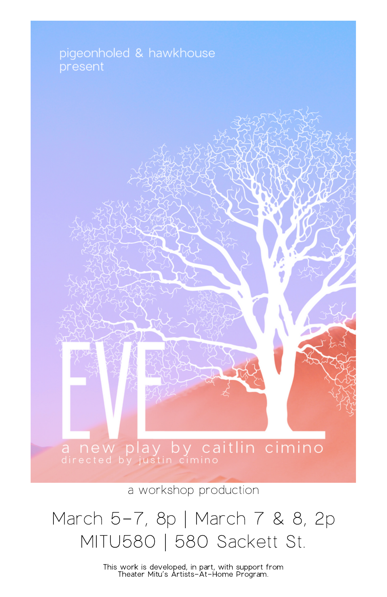# pigeonholed & hawkhouse

a new play by caitlin cimino

a workshop production

### March 5-7, 8p | March 7 & 8, 2p MITU580 | 580 Sackett St.

This work is developed, in part, with support from Theater Mitu's Artists-At-Home Program.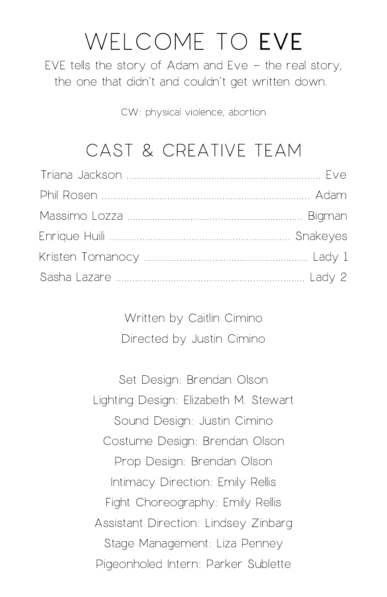# WELCOME TO EVE

EVE tells the story of Adam and Eve  $-$  the real story, the one that didn't and couldn't get written down.

CW: physical violence, abortion

### CAST & CREATIVE TEAM

Written by Caitlin Cimino Directed by Justin Cimino

Set Design: Brendan Olson Lighting Design: Elizabeth M. Stewart Sound Design: Justin Cimino Costume Design: Brendan Olson Prop Design: Brendan Olson Intimacy Direction: Emily Rellis Fight Choreography: Emily Rellis Assistant Direction: Lindsey Zinbarg Stage Management: Liza Penney Pigeonholed Intern: Parker Sublette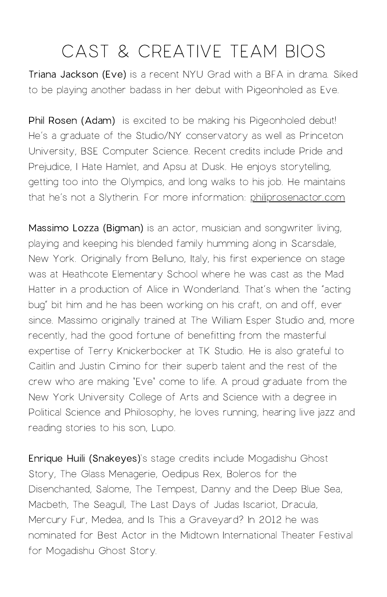Triana Jackson (Eve) is a recent NYU Grad with a BFA in drama. Siked to be playing another badass in her debut with Pigeonholed as Eve.

Phil Rosen (Adam) is excited to be making his Pigeonholed debut! He's a graduate of the Studio/NY conservatory as well as Princeton University, BSE Computer Science. Recent credits include Pride and Prejudice, I Hate Hamlet, and Apsu at Dusk. He enjoys storytelling, getting too into the Olympics, and long walks to his job. He maintains that he's not a Slytherin. For more information: [philiprosenactor.com](http://philiprosenactor.com/)

Massimo Lozza (Bigman) is an actor, musician and songwriter living, playing and keeping his blended family humming along in Scarsdale, New York. Originally from Belluno, Italy, his first experience on stage was at Heathcote Elementary School where he was cast as the Mad Hatter in a production of Alice in Wonderland. That's when the "acting bug" bit him and he has been working on his craft, on and off, ever since. Massimo originally trained at The William Esper Studio and, more recently, had the good fortune of benefitting from the masterful expertise of Terry Knickerbocker at TK Studio. He is also grateful to Caitlin and Justin Cimino for their superb talent and the rest of the crew who are making "Eve" come to life. A proud graduate from the New York University College of Arts and Science with a degree in Political Science and Philosophy, he loves running, hearing live jazz and reading stories to his son, Lupo.

Enrique Huili (Snakeyes)'s stage credits include Mogadishu Ghost Story, The Glass Menagerie, Oedipus Rex, Boleros for the Disenchanted, Salome, The Tempest, Danny and the Deep Blue Sea, Macbeth, The Seagull, The Last Days of Judas Iscariot, Dracula, Mercury Fur, Medea, and Is This a Graveyard? In 2012 he was nominated for Best Actor in the Midtown International Theater Festival for Mogadishu Ghost Story.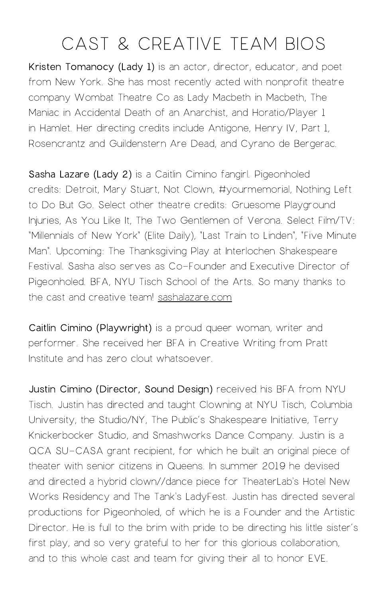Kristen Tomanocy (Lady 1) is an actor, director, educator, and poet from New York. She has most recently acted with nonprofit theatre company Wombat Theatre Co as Lady Macbeth in Macbeth, The Maniac in Accidental Death of an Anarchist, and Horatio/Player 1 in Hamlet. Her directing credits include Antigone, Henry IV, Part 1, Rosencrantz and Guildenstern Are Dead, and Cyrano de Bergerac.

Sasha Lazare (Lady 2) is a Caitlin Cimino fangirl. Pigeonholed credits: Detroit, Mary Stuart, Not Clown, #yourmemorial, Nothing Left to Do But Go. Select other theatre credits: Gruesome Playground Injuries, As You Like It, The Two Gentlemen of Verona. Select Film/TV: "Millennials of New York" (Elite Daily), "Last Train to Linden", "Five Minute Man". Upcoming: The Thanksgiving Play at Interlochen Shakespeare Festival. Sasha also serves as Co-Founder and Executive Director of Pigeonholed. BFA, NYU Tisch School of the Arts. So many thanks to the cast and creative team! [sashalazare.com](http://sashalazare.com/)

Caitlin Cimino (Playwright) is a proud queer woman, writer and performer. She received her BFA in Creative Writing from Pratt Institute and has zero clout whatsoever.

Justin Cimino (Director, Sound Design) received his BFA from NYU Tisch. Justin has directed and taught Clowning at NYU Tisch, Columbia University, the Studio/NY, The Public's Shakespeare Initiative, Terry Knickerbocker Studio, and Smashworks Dance Company. Justin is a QCA SU-CASA grant recipient, for which he built an original piece of theater with senior citizens in Queens. In summer 2019 he devised and directed a hybrid clown//dance piece for TheaterLab's Hotel New Works Residency and The Tank's LadyFest. Justin has directed several productions for Pigeonholed, of which he is a Founder and the Artistic Director. He is full to the brim with pride to be directing his little sister's first play, and so very grateful to her for this glorious collaboration, and to this whole cast and team for giving their all to honor EVE.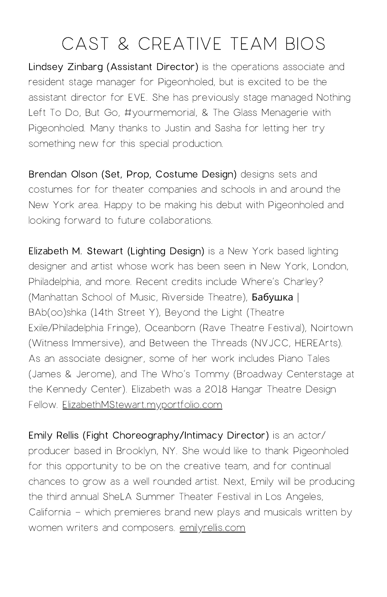Lindsey Zinbarg (Assistant Director) is the operations associate and resident stage manager for Pigeonholed, but is excited to be the assistant director for EVE. She has previously stage managed Nothing Left To Do, But Go, #yourmemorial, & The Glass Menagerie with Pigeonholed. Many thanks to Justin and Sasha for letting her try something new for this special production.

Brendan Olson (Set, Prop, Costume Design) designs sets and costumes for for theater companies and schools in and around the New York area. Happy to be making his debut with Pigeonholed and looking forward to future collaborations.

Elizabeth M. Stewart (Lighting Design) is a New York based lighting designer and artist whose work has been seen in New York, London, Philadelphia, and more. Recent credits include Where's Charley? (Manhattan School of Music, Riverside Theatre), Бабушка | BAb(oo)shka (14th Street Y), Beyond the Light (Theatre Exile/Philadelphia Fringe), Oceanborn (Rave Theatre Festival), Noirtown (Witness Immersive), and Between the Threads (NVJCC, HEREArts). As an associate designer, some of her work includes Piano Tales (James & Jerome), and The Who's Tommy (Broadway Centerstage at the Kennedy Center). Elizabeth was a 2018 Hangar Theatre Design Fellow. [ElizabethMStewart.myportfolio.com](http://elizabethmstewart.myportfolio.com/)

Emily Rellis (Fight Choreography/Intimacy Director) is an actor/ producer based in Brooklyn, NY. She would like to thank Pigeonholed for this opportunity to be on the creative team, and for continual chances to grow as a well rounded artist. Next, Emily will be producing the third annual SheLA Summer Theater Festival in Los Angeles, California - which premieres brand new plays and musicals written by women writers and composers. [emilyrellis.com](http://emilyrellis.com/)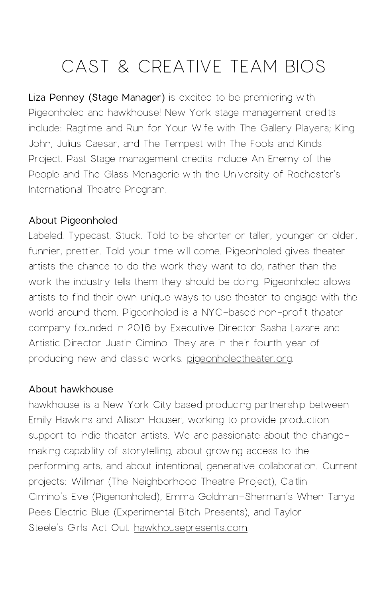Liza Penney (Stage Manager) is excited to be premiering with Pigeonholed and hawkhouse! New York stage management credits include: Ragtime and Run for Your Wife with The Gallery Players; King John, Julius Caesar, and The Tempest with The Fools and Kinds Project. Past Stage management credits include An Enemy of the People and The Glass Menagerie with the University of Rochester's International Theatre Program.

#### About Pigeonholed

Labeled. Typecast. Stuck. Told to be shorter or taller, younger or older, funnier, prettier. Told your time will come. Pigeonholed gives theater artists the chance to do the work they want to do, rather than the work the industry tells them they should be doing. Pigeonholed allows artists to find their own unique ways to use theater to engage with the world around them. Pigeonholed is a NYC-based non-profit theater company founded in 2016 by Executive Director Sasha Lazare and Artistic Director Justin Cimino. They are in their fourth year of producing new and classic works. [pigeonholedtheater.org.](http://pigeonholedtheater.org/)

#### About hawkhouse

hawkhouse is a New York City based producing partnership between Emily Hawkins and Allison Houser, working to provide production support to indie theater artists. We are passionate about the changemaking capability of storytelling, about growing access to the performing arts, and about intentional, generative collaboration. Current projects: Willmar (The Neighborhood Theatre Project), Caitlin Cimino's Eve (Pigenonholed), Emma Goldman-Sherman's When Tanya Pees Electric Blue (Experimental Bitch Presents), and Taylor Steele's Girls Act Out. [hawkhousepresents.com](http://hawkhousepresents.com/).